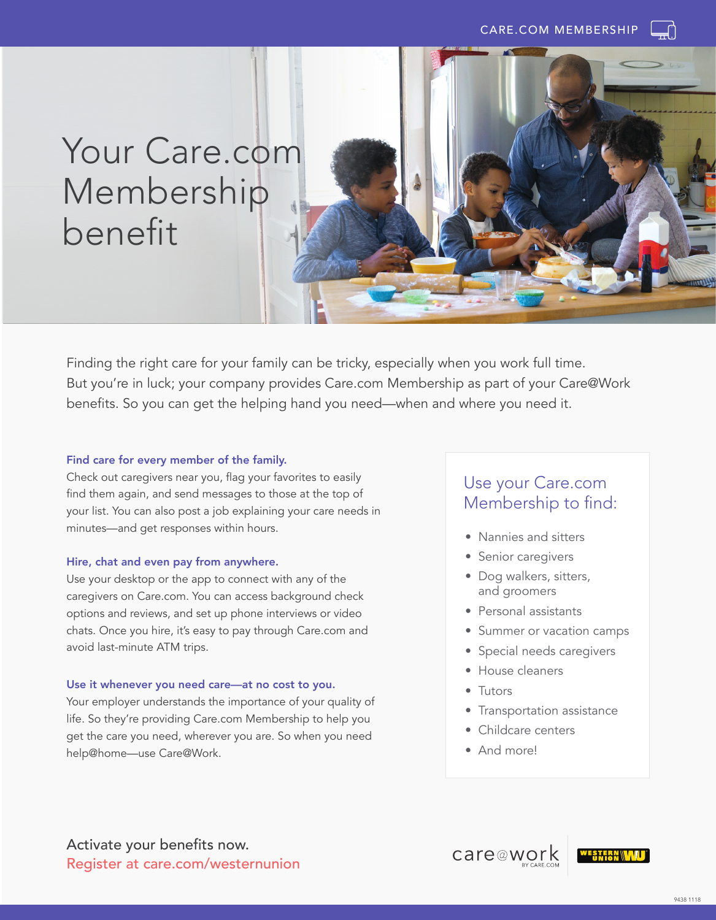# Your Care.com Membership benefit



Finding the right care for your family can be tricky, especially when you work full time. But you're in luck; your company provides Care.com Membership as part of your Care@Work benefits. So you can get the helping hand you need—when and where you need it.

#### Find care for every member of the family.

Check out caregivers near you, flag your favorites to easily find them again, and send messages to those at the top of your list. You can also post a job explaining your care needs in minutes—and get responses within hours.

#### Hire, chat and even pay from anywhere.

Use your desktop or the app to connect with any of the caregivers on Care.com. You can access background check options and reviews, and set up phone interviews or video chats. Once you hire, it's easy to pay through Care.com and avoid last-minute ATM trips.

#### Use it whenever you need care—at no cost to you.

Your employer understands the importance of your quality of life. So they're providing Care.com Membership to help you get the care you need, wherever you are. So when you need help@home—use Care@Work.

### Use your Care.com Membership to find:

- Nannies and sitters
- Senior caregivers
- Dog walkers, sitters, and groomers
- Personal assistants
- Summer or vacation camps
- Special needs caregivers
- House cleaners
- Tutors
- Transportation assistance
- Childcare centers
- And more!

care@work